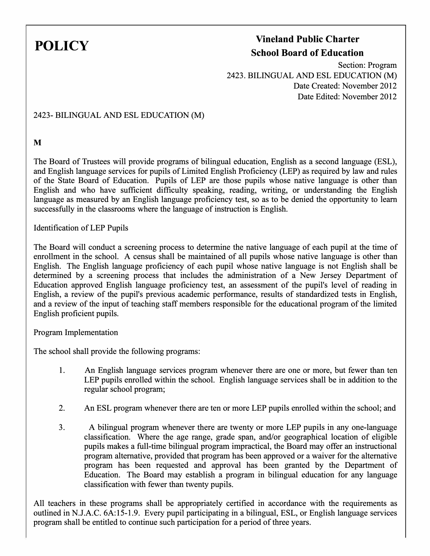## **POLICY Vineland Public Charter School Board of Education**

Section: Program 2423. BILINGUAL AND ESL EDUCATION (M) Date Created: November 2012 Date Edited: November 2012

2423- BILINGUAL AND ESL EDUCATION (M)

**M** 

The Board of Trustees will provide programs of bilingual education, English as a second language (ESL), and English language services for pupils of Limited English Proficiency (LEP) as required by law and rules of the State Board of Education. Pupils of LEP are those pupils whose native language is other than English and who have sufficient difficulty speaking, reading, writing, or understanding the English language as measured by an English language proficiency test, so as to be denied the opportunity to learn successfully in the classrooms where the language of instruction is English.

Identification of LEP Pupils

The Board will conduct a screening process to determine the native language of each pupil at the time of enrollment in the school. A census shall be maintained of all pupils whose native language is other than English. The English language proficiency of each pupil whose native language is not English shall be determined by a screening process that includes the administration of a New Jersey Department of Education approved English language proficiency test, an assessment of the pupil's level of reading in English, a review of the pupil's previous academic performance, results of standardized tests in English, and a review of the input of teaching staff members responsible for the educational program of the limited English proficient pupils.

Program Implementation

The school shall provide the following programs:

- 1. An English language services program whenever there are one or more, but fewer than ten LEP pupils enrolled within the school. English language services shall be in addition to the regular school program;
- 2. An ESL program whenever there are ten or more LEP pupils enrolled within the school; and
- 3. A bilingual program whenever there are twenty or more LEP pupils in any one-language classification. Where the age range, grade span, and/or geographical location of eligible pupils makes a full-time bilingual program impractical, the Board may offer an instructional program alternative, provided that program has been approved or a waiver for the alternative program has been requested and approval has been granted by the Department of Education. The Board may establish a program in bilingual education for any language classification with fewer than twenty pupils.

All teachers in these programs shall be appropriately certified in accordance with the requirements as outlined in N.J.A.C. 6A:15-l.9. Every pupil participating in a bilingual, ESL, or English language services program shall be entitled to continue such participation for a period of three years.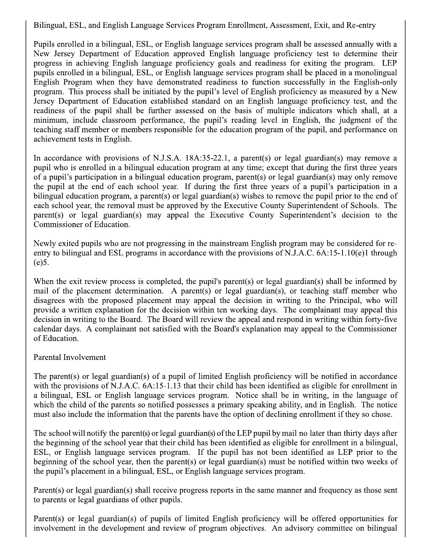Bilingual, ESL, and English Language Services Program Enrollment, Assessment, Exit, and Re-entry

Pupils enrolled in a bilingual, ESL, or English language services program shall be assessed annually with a New Jersey Department of Education approved English language proficiency test to determine their progress in achieving English language proficiency goals and readiness for exiting the program. LEP pupils enrolled in a bilingual, ESL, or English language services program shall be placed in a monolingual English Program when they have demonstrated readiness to function successfully in the English-only program. This process shall be initiated by the pupil's level of English proficiency as measured by a New Jersey Department of Education established standard on an English language proficiency test, and the readiness of the pupil shall be further assessed on the basis of multiple indicators which shall, at a minimum, include classroom performance, the pupil's reading level in English, the judgment of the teaching staff member or members responsible for the education program of the pupil, and performance on achievement tests in English.

In accordance with provisions of N.J.S.A. 18A:35-22.1, a parent(s) or legal guardian(s) may remove a pupil who is enrolled in a bilingual education program at any time; except that during the first three years of a pupil's participation in a bilingual education program, parent(s) or legal guardian(s) may only remove the pupil at the end of each school year. If during the first three years of a pupil's participation in a bilingual education program, a parent(s) or legal guardian(s) wishes to remove the pupil prior to the end of each school year, the removal must be approved by the Executive County Superintendent of Schools. The parent(s) or legal guardian(s) may appeal the Executive County Superintendent's decision to the Commissioner of Education.

Newly exited pupils who are not progressing in the mainstream English program may be considered for reentry to bilingual and ESL programs in accordance with the provisions of N.J.A.C. 6A:15-1.10(e)1 through  $(e)5.$ 

When the exit review process is completed, the pupil's parent(s) or legal guardian(s) shall be informed by mail of the placement determination. A parent(s) or legal guardian(s), or teaching staff member who disagrees with the proposed placement may appeal the decision in writing to the Principal, who will provide a written explanation for the decision within ten working days. The complainant may appeal this decision in writing to the Board. The Board will review the appeal and respond in writing within forty-five calendar days. A complainant not satisfied with the Board's explanation may appeal to the Commissioner of Education.

## Parental Involvement

The parent(s) or legal guardian(s) of a pupil of limited English proficiency will be notified in accordance with the provisions of N.J.A.C. 6A:15-1.13 that their child has been identified as eligible for enrollment in a bilingual, ESL or English language services program. Notice shall be in writing, in the language of which the child of the parents so notified possesses a primary speaking ability, and in English. The notice must also include the information that the parents have the option of declining enrollment if they so chose.

The school will notify the parent(s) or legal guardian(s) of the LEP pupil by mail no later than thirty days after the beginning of the school year that their child has been identified as eligible for enrollment in a bilingual, ESL, or English language services program. If the pupil has not been identified as LEP prior to the beginning of the school year, then the parent(s) or legal guardian(s) must be notified within two weeks of the pupil's placement in a bilingual, ESL, or English language services program.

Parent(s) or legal guardian(s) shall receive progress reports in the same manner and frequency as those sent to parents or legal guardians of other pupils.

Parent(s) or legal guardian(s) of pupils of limited English proficiency will be offered opportunities for involvement in the development and review of program objectives. An advisory committee on bilingual